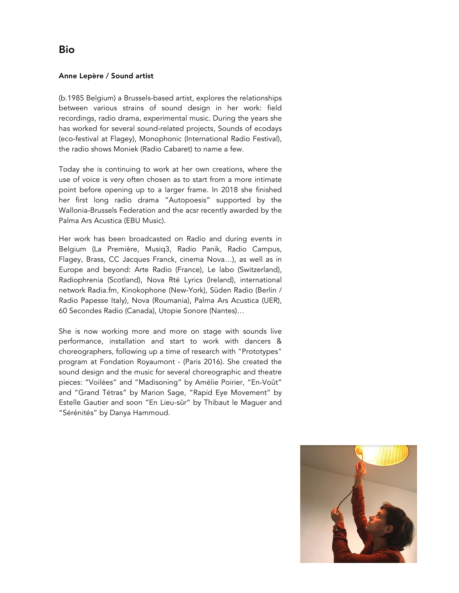## Anne Lepère / Sound artist

(b.1985 Belgium) a Brussels-based artist, explores the relationships between various strains of sound design in her work: field recordings, radio drama, experimental music. During the years she has worked for several sound-related projects, Sounds of ecodays (eco-festival at Flagey), Monophonic (International Radio Festival), the radio shows Moniek (Radio Cabaret) to name a few.

Today she is continuing to work at her own creations, where the use of voice is very often chosen as to start from a more intimate point before opening up to a larger frame. In 2018 she finished her first long radio drama "Autopoesis" supported by the Wallonia-Brussels Federation and the acsr recently awarded by the Palma Ars Acustica (EBU Music).

Her work has been broadcasted on Radio and during events in Belgium (La Première, Musiq3, Radio Panik, Radio Campus, Flagey, Brass, CC Jacques Franck, cinema Nova…), as well as in Europe and beyond: Arte Radio (France), Le labo (Switzerland), Radiophrenia (Scotland), Nova Rté Lyrics (Ireland), international network Radia.fm, Kinokophone (New-York), Süden Radio (Berlin / Radio Papesse Italy), Nova (Roumania), Palma Ars Acustica (UER), 60 Secondes Radio (Canada), Utopie Sonore (Nantes)…

She is now working more and more on stage with sounds live performance, installation and start to work with dancers & choreographers, following up a time of research with "Prototypes" program at Fondation Royaumont - (Paris 2016). She created the sound design and the music for several choreographic and theatre pieces: "Voilées" and "Madisoning" by Amélie Poirier, "En-Voût" and "Grand Tétras" by Marion Sage, "Rapid Eye Movement" by Estelle Gautier and soon "En Lieu-sûr" by Thibaut le Maguer and "Sérénités" by Danya Hammoud.

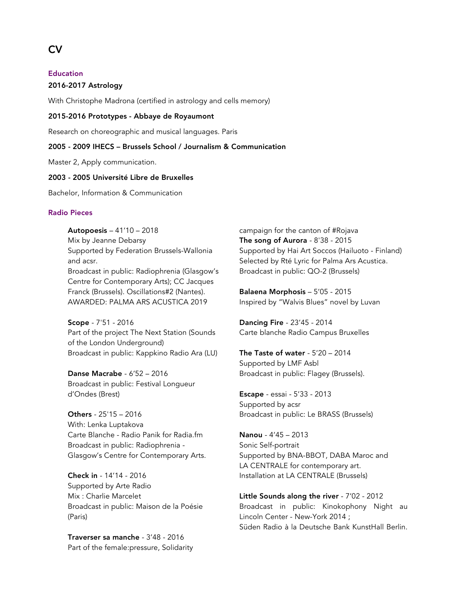# Education

#### 2016-2017 Astrology

With Christophe Madrona (certified in astrology and cells memory)

#### 2015-2016 Prototypes - Abbaye de Royaumont

Research on choreographic and musical languages. Paris

## 2005 - 2009 IHECS – Brussels School / Journalism & Communication

Master 2, Apply communication.

#### 2003 - 2005 Université Libre de Bruxelles

Bachelor, Information & Communication

### Radio Pieces

Autopoesis – 41'10 – 2018 Mix by Jeanne Debarsy Supported by Federation Brussels-Wallonia and acsr. Broadcast in public: Radiophrenia (Glasgow's Centre for Contemporary Arts); CC Jacques Franck (Brussels). Oscillations#2 (Nantes). AWARDED: PALMA ARS ACUSTICA 2019

Scope - 7'51 - 2016 Part of the project The Next Station (Sounds of the London Underground) Broadcast in public: Kappkino Radio Ara (LU)

Danse Macrabe - 6'52 – 2016 Broadcast in public: Festival Longueur d'Ondes (Brest)

Others - 25'15 – 2016 With: Lenka Luptakova Carte Blanche - Radio Panik for Radia.fm Broadcast in public: Radiophrenia - Glasgow's Centre for Contemporary Arts.

Check in - 14'14 - 2016 Supported by Arte Radio Mix : Charlie Marcelet Broadcast in public: Maison de la Poésie (Paris)

Traverser sa manche - 3'48 - 2016 Part of the female:pressure, Solidarity campaign for the canton of #Rojava The song of Aurora - 8'38 - 2015 Supported by Hai Art Soccos (Hailuoto - Finland) Selected by Rté Lyric for Palma Ars Acustica. Broadcast in public: QO-2 (Brussels)

Balaena Morphosis – 5'05 - 2015 Inspired by "Walvis Blues" novel by Luvan

Dancing Fire - 23'45 - 2014 Carte blanche Radio Campus Bruxelles

The Taste of water  $-5'20 - 2014$ Supported by LMF Asbl Broadcast in public: Flagey (Brussels).

Escape - essai - 5'33 - 2013 Supported by acsr Broadcast in public: Le BRASS (Brussels)

Nanou - 4'45 – 2013 Sonic Self-portrait Supported by BNA-BBOT, DABA Maroc and LA CENTRALE for contemporary art. Installation at LA CENTRALE (Brussels)

Little Sounds along the river - 7'02 - 2012 Broadcast in public: Kinokophony Night au Lincoln Center - New-York 2014 ; Süden Radio à la Deutsche Bank KunstHall Berlin.

# CV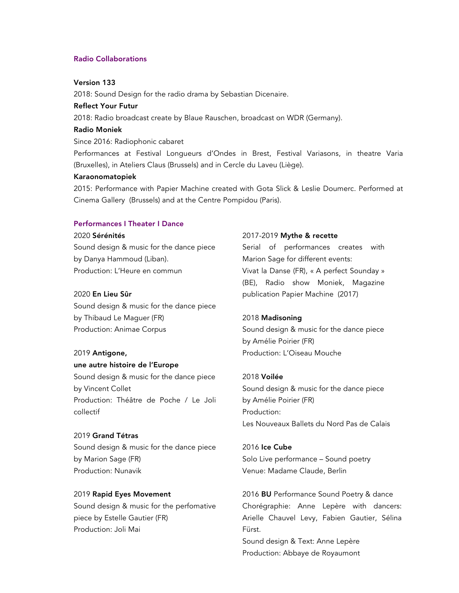#### Radio Collaborations

## Version 133

2018: Sound Design for the radio drama by Sebastian Dicenaire.

## Reflect Your Futur

2018: Radio broadcast create by Blaue Rauschen, broadcast on WDR (Germany).

#### Radio Moniek

Since 2016: Radiophonic cabaret

Performances at Festival Longueurs d'Ondes in Brest, Festival Variasons, in theatre Varia (Bruxelles), in Ateliers Claus (Brussels) and in Cercle du Laveu (Liège).

### Karaonomatopiek

2015: Performance with Papier Machine created with Gota Slick & Leslie Doumerc. Performed at Cinema Gallery (Brussels) and at the Centre Pompidou (Paris).

#### Performances I Theater I Dance

#### 2020 Sérénités

Sound design & music for the dance piece by Danya Hammoud (Liban). Production: L'Heure en commun

## 2020 En Lieu Sûr

Sound design & music for the dance piece by Thibaud Le Maguer (FR) Production: Animae Corpus

#### 2019 Antigone,

## une autre histoire de l'Europe

Sound design & music for the dance piece by Vincent Collet Production: Théâtre de Poche / Le Joli collectif

#### 2019 Grand Tétras

Sound design & music for the dance piece by Marion Sage (FR) Production: Nunavik

## 2019 Rapid Eyes Movement

Sound design & music for the perfomative piece by Estelle Gautier (FR) Production: Joli Mai

## 2017-2019 Mythe & recette

Serial of performances creates with Marion Sage for different events: Vivat la Danse (FR), « A perfect Sounday » (BE), Radio show Moniek, Magazine publication Papier Machine (2017)

#### 2018 Madisoning

Sound design & music for the dance piece by Amélie Poirier (FR) Production: L'Oiseau Mouche

#### 2018 Voilée

Sound design & music for the dance piece by Amélie Poirier (FR) Production: Les Nouveaux Ballets du Nord Pas de Calais

2016 Ice Cube Solo Live performance – Sound poetry Venue: Madame Claude, Berlin

2016 BU Performance Sound Poetry & dance Chorégraphie: Anne Lepère with dancers: Arielle Chauvel Levy, Fabien Gautier, Sélina Fürst. Sound design & Text: Anne Lepère Production: Abbaye de Royaumont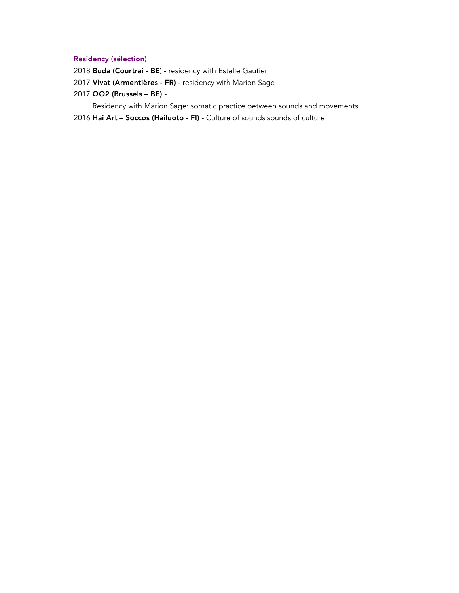## Residency (sélection)

- 2018 Buda (Courtrai BE) residency with Estelle Gautier
- 2017 Vivat (Armentières FR) residency with Marion Sage
- 2017 QO2 (Brussels BE) -

Residency with Marion Sage: somatic practice between sounds and movements.

2016 Hai Art – Soccos (Hailuoto - FI) - Culture of sounds sounds of culture